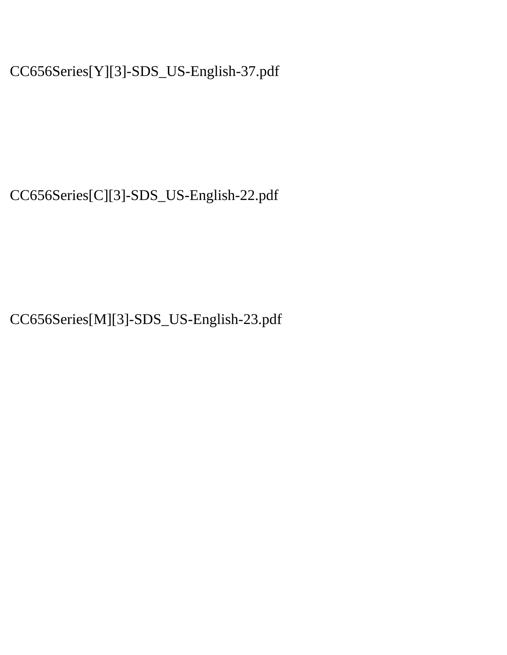CC656Series[Y][3]-SDS\_US-English-37.pdf

CC656Series[C][3]-SDS\_US-English-22.pdf

CC656Series[M][3]-SDS\_US-English-23.pdf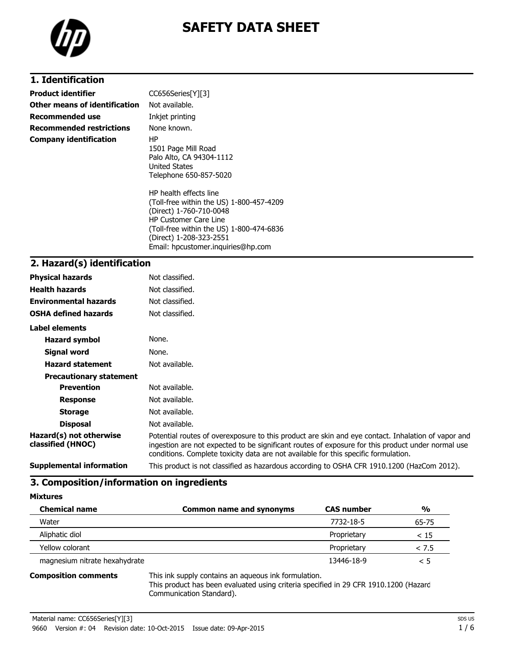

# **SAFETY DATA SHEET**

### **1. Identification**

| <b>Product identifier</b>       | CC656Series[Y][3]                                                                                                                                                                                                                          |
|---------------------------------|--------------------------------------------------------------------------------------------------------------------------------------------------------------------------------------------------------------------------------------------|
| Other means of identification   | Not available.                                                                                                                                                                                                                             |
| <b>Recommended use</b>          | Inkjet printing                                                                                                                                                                                                                            |
| <b>Recommended restrictions</b> | None known.                                                                                                                                                                                                                                |
| <b>Company identification</b>   | HP.<br>1501 Page Mill Road<br>Palo Alto, CA 94304-1112<br>United States<br>Telephone 650-857-5020                                                                                                                                          |
|                                 | HP health effects line<br>(Toll-free within the US) 1-800-457-4209<br>(Direct) 1-760-710-0048<br><b>HP Customer Care Line</b><br>(Toll-free within the US) 1-800-474-6836<br>(Direct) 1-208-323-2551<br>Email: hpcustomer.inquiries@hp.com |

### **2. Hazard(s) identification**

| <b>Physical hazards</b>                      | Not classified.                                                                                                                                                                                                                                                                                |
|----------------------------------------------|------------------------------------------------------------------------------------------------------------------------------------------------------------------------------------------------------------------------------------------------------------------------------------------------|
| <b>Health hazards</b>                        | Not classified.                                                                                                                                                                                                                                                                                |
| <b>Environmental hazards</b>                 | Not classified.                                                                                                                                                                                                                                                                                |
| <b>OSHA defined hazards</b>                  | Not classified.                                                                                                                                                                                                                                                                                |
| Label elements                               |                                                                                                                                                                                                                                                                                                |
| <b>Hazard symbol</b>                         | None.                                                                                                                                                                                                                                                                                          |
| Signal word                                  | None.                                                                                                                                                                                                                                                                                          |
| <b>Hazard statement</b>                      | Not available.                                                                                                                                                                                                                                                                                 |
| <b>Precautionary statement</b>               |                                                                                                                                                                                                                                                                                                |
| <b>Prevention</b>                            | Not available.                                                                                                                                                                                                                                                                                 |
| <b>Response</b>                              | Not available.                                                                                                                                                                                                                                                                                 |
| <b>Storage</b>                               | Not available.                                                                                                                                                                                                                                                                                 |
| <b>Disposal</b>                              | Not available.                                                                                                                                                                                                                                                                                 |
| Hazard(s) not otherwise<br>classified (HNOC) | Potential routes of overexposure to this product are skin and eye contact. Inhalation of vapor and<br>ingestion are not expected to be significant routes of exposure for this product under normal use<br>conditions. Complete toxicity data are not available for this specific formulation. |
| <b>Supplemental information</b>              | This product is not classified as hazardous according to OSHA CFR 1910.1200 (HazCom 2012).                                                                                                                                                                                                     |

### **3. Composition/information on ingredients**

| <b>Mixtures</b>               |                                                      |                   |          |
|-------------------------------|------------------------------------------------------|-------------------|----------|
| <b>Chemical name</b>          | <b>Common name and synonyms</b>                      | <b>CAS number</b> | %        |
| Water                         |                                                      | 7732-18-5         | 65-75    |
| Aliphatic diol                |                                                      | Proprietary       | < 15     |
| Yellow colorant               |                                                      | Proprietary       | < 7.5    |
| magnesium nitrate hexahydrate |                                                      | 13446-18-9        | $\leq 5$ |
| <b>Composition comments</b>   | This ink supply contains an aqueous ink formulation. |                   |          |

This product has been evaluated using criteria specified in 29 CFR 1910.1200 (Hazard Communication Standard).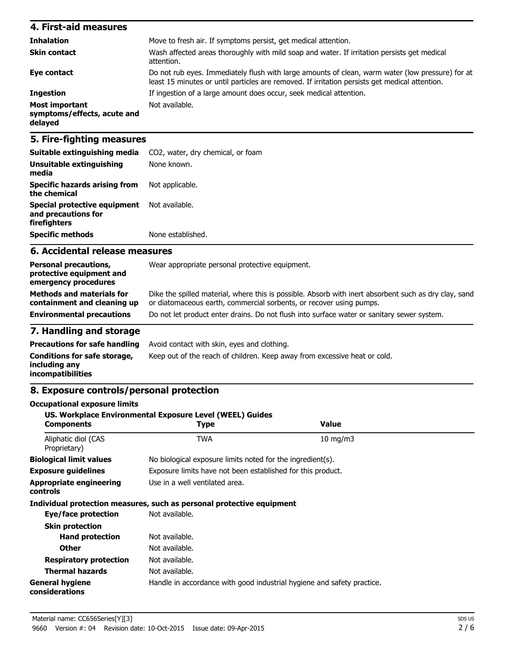| 4. First-aid measures                                    |                                                                                                                                                                                                    |
|----------------------------------------------------------|----------------------------------------------------------------------------------------------------------------------------------------------------------------------------------------------------|
| <b>Inhalation</b>                                        | Move to fresh air. If symptoms persist, get medical attention.                                                                                                                                     |
| <b>Skin contact</b>                                      | Wash affected areas thoroughly with mild soap and water. If irritation persists get medical<br>attention.                                                                                          |
| Eye contact                                              | Do not rub eyes. Immediately flush with large amounts of clean, warm water (low pressure) for at<br>least 15 minutes or until particles are removed. If irritation persists get medical attention. |
| <b>Ingestion</b>                                         | If ingestion of a large amount does occur, seek medical attention.                                                                                                                                 |
| Most important<br>symptoms/effects, acute and<br>delayed | Not available.                                                                                                                                                                                     |

### **5. Fire-fighting measures**

| Suitable extinguishing media<br>Unsuitable extinguishing<br>media   | CO <sub>2</sub> , water, dry chemical, or foam<br>None known. |
|---------------------------------------------------------------------|---------------------------------------------------------------|
| <b>Specific hazards arising from</b><br>the chemical                | Not applicable.                                               |
| Special protective equipment<br>and precautions for<br>firefighters | Not available.                                                |
| <b>Specific methods</b>                                             | None established.                                             |

### **6. Accidental release measures**

| <b>Personal precautions,</b><br>protective equipment and<br>emergency procedures | Wear appropriate personal protective equipment.                                                                                                                              |
|----------------------------------------------------------------------------------|------------------------------------------------------------------------------------------------------------------------------------------------------------------------------|
| <b>Methods and materials for</b><br>containment and cleaning up                  | Dike the spilled material, where this is possible. Absorb with inert absorbent such as dry clay, sand<br>or diatomaceous earth, commercial sorbents, or recover using pumps. |
| <b>Environmental precautions</b>                                                 | Do not let product enter drains. Do not flush into surface water or sanitary sewer system.                                                                                   |

### **7. Handling and storage**

|                                                                    | <b>Precautions for safe handling</b> Avoid contact with skin, eyes and clothing. |
|--------------------------------------------------------------------|----------------------------------------------------------------------------------|
| Conditions for safe storage,<br>including anv<br>incompatibilities | Keep out of the reach of children. Keep away from excessive heat or cold.        |

### **8. Exposure controls/personal protection**

| <b>Occupational exposure limits</b>               | US. Workplace Environmental Exposure Level (WEEL) Guides               |                   |  |
|---------------------------------------------------|------------------------------------------------------------------------|-------------------|--|
| <b>Components</b>                                 | Type                                                                   | <b>Value</b>      |  |
| Aliphatic diol (CAS<br>Proprietary)               | <b>TWA</b>                                                             | $10 \text{ mg/m}$ |  |
| <b>Biological limit values</b>                    | No biological exposure limits noted for the ingredient(s).             |                   |  |
| <b>Exposure guidelines</b>                        | Exposure limits have not been established for this product.            |                   |  |
| <b>Appropriate engineering</b><br><b>controls</b> | Use in a well ventilated area.                                         |                   |  |
|                                                   | Individual protection measures, such as personal protective equipment  |                   |  |
| Eye/face protection                               | Not available.                                                         |                   |  |
| <b>Skin protection</b>                            |                                                                        |                   |  |
| <b>Hand protection</b>                            | Not available.                                                         |                   |  |
| <b>Other</b>                                      | Not available.                                                         |                   |  |
| <b>Respiratory protection</b>                     | Not available.                                                         |                   |  |
| <b>Thermal hazards</b>                            | Not available.                                                         |                   |  |
| <b>General hygiene</b><br>considerations          | Handle in accordance with good industrial hygiene and safety practice. |                   |  |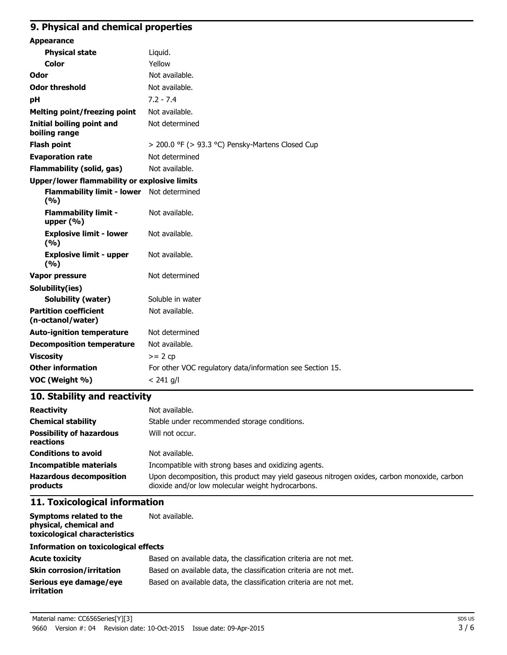### **9. Physical and chemical properties**

| <b>Appearance</b>                                  |                                                           |
|----------------------------------------------------|-----------------------------------------------------------|
| <b>Physical state</b>                              | Liquid.                                                   |
| <b>Color</b>                                       | Yellow                                                    |
| Odor                                               | Not available.                                            |
| <b>Odor threshold</b>                              | Not available.                                            |
| pH                                                 | $7.2 - 7.4$                                               |
| <b>Melting point/freezing point</b>                | Not available.                                            |
| Initial boiling point and<br>boiling range         | Not determined                                            |
| <b>Flash point</b>                                 | > 200.0 °F (> 93.3 °C) Pensky-Martens Closed Cup          |
| <b>Evaporation rate</b>                            | Not determined                                            |
| <b>Flammability (solid, gas)</b>                   | Not available.                                            |
| Upper/lower flammability or explosive limits       |                                                           |
| Flammability limit - lower Not determined<br>(9/6) |                                                           |
| <b>Flammability limit -</b><br>upper $(\% )$       | Not available.                                            |
| <b>Explosive limit - lower</b><br>(9/6)            | Not available.                                            |
| <b>Explosive limit - upper</b><br>(9/6)            | Not available.                                            |
| <b>Vapor pressure</b>                              | Not determined                                            |
| Solubility(ies)                                    |                                                           |
| <b>Solubility (water)</b>                          | Soluble in water                                          |
| <b>Partition coefficient</b><br>(n-octanol/water)  | Not available.                                            |
| <b>Auto-ignition temperature</b>                   | Not determined                                            |
| <b>Decomposition temperature</b>                   | Not available.                                            |
| <b>Viscosity</b>                                   | $>= 2 cp$                                                 |
| <b>Other information</b>                           | For other VOC regulatory data/information see Section 15. |
| VOC (Weight %)                                     | $< 241$ g/l                                               |

### **10. Stability and reactivity**

| <b>Reactivity</b>                            | Not available.                                                                                                                                   |  |  |
|----------------------------------------------|--------------------------------------------------------------------------------------------------------------------------------------------------|--|--|
| <b>Chemical stability</b>                    | Stable under recommended storage conditions.                                                                                                     |  |  |
| <b>Possibility of hazardous</b><br>reactions | Will not occur.                                                                                                                                  |  |  |
| <b>Conditions to avoid</b>                   | Not available.                                                                                                                                   |  |  |
| <b>Incompatible materials</b>                | Incompatible with strong bases and oxidizing agents.                                                                                             |  |  |
| <b>Hazardous decomposition</b><br>products   | Upon decomposition, this product may yield gaseous nitrogen oxides, carbon monoxide, carbon<br>dioxide and/or low molecular weight hydrocarbons. |  |  |

### **11. Toxicological information**

**Symptoms related to the physical, chemical and toxicological characteristics** Not available.

#### **Information on toxicological effects**

| <b>Acute toxicity</b>                       | Based on available data, the classification criteria are not met. |
|---------------------------------------------|-------------------------------------------------------------------|
| <b>Skin corrosion/irritation</b>            | Based on available data, the classification criteria are not met. |
| Serious eve damage/eve<br><i>irritation</i> | Based on available data, the classification criteria are not met. |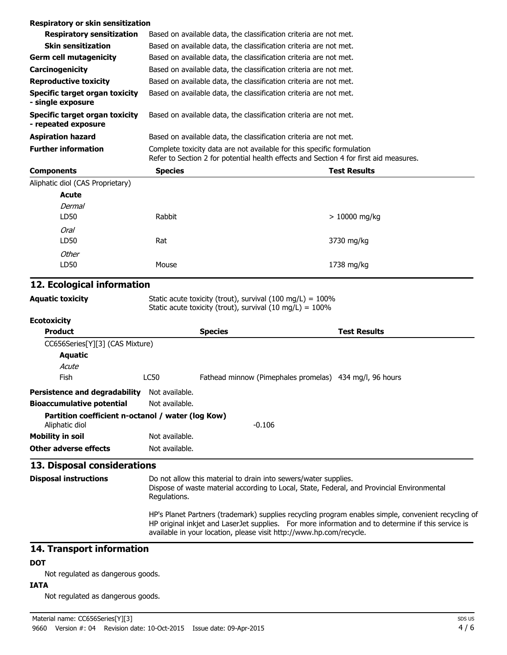| <b>Components</b>                                     | <b>Species</b>                                                                                                                                                  |                                                                   | <b>Test Results</b> |
|-------------------------------------------------------|-----------------------------------------------------------------------------------------------------------------------------------------------------------------|-------------------------------------------------------------------|---------------------|
| <b>Further information</b>                            | Complete toxicity data are not available for this specific formulation<br>Refer to Section 2 for potential health effects and Section 4 for first aid measures. |                                                                   |                     |
| <b>Aspiration hazard</b>                              | Based on available data, the classification criteria are not met.                                                                                               |                                                                   |                     |
| Specific target organ toxicity<br>- repeated exposure |                                                                                                                                                                 | Based on available data, the classification criteria are not met. |                     |
| Specific target organ toxicity<br>- single exposure   |                                                                                                                                                                 | Based on available data, the classification criteria are not met. |                     |
| <b>Reproductive toxicity</b>                          |                                                                                                                                                                 | Based on available data, the classification criteria are not met. |                     |
| <b>Carcinogenicity</b>                                |                                                                                                                                                                 | Based on available data, the classification criteria are not met. |                     |
| <b>Germ cell mutagenicity</b>                         |                                                                                                                                                                 | Based on available data, the classification criteria are not met. |                     |
| <b>Skin sensitization</b>                             |                                                                                                                                                                 | Based on available data, the classification criteria are not met. |                     |
| <b>Respiratory sensitization</b>                      |                                                                                                                                                                 | Based on available data, the classification criteria are not met. |                     |
| Respiratory or skin sensitization                     |                                                                                                                                                                 |                                                                   |                     |

Aliphatic diol (CAS Proprietary)

| <b>Acute</b>  |        |               |
|---------------|--------|---------------|
| <b>Dermal</b> |        |               |
| LD50          | Rabbit | > 10000 mg/kg |
| Oral          |        |               |
| LD50          | Rat    | 3730 mg/kg    |
| Other         |        |               |
| LD50          | Mouse  | 1738 mg/kg    |

### **12. Ecological information**

**Aquatic toxicity** Static acute toxicity (trout), survival (100 mg/L) = 100% Static acute toxicity (trout), survival  $(10 \text{ mg/L}) = 100\%$ 

#### **Ecotoxicity**

| <b>Product</b>                                    |                | <b>Species</b>                                          | <b>Test Results</b> |
|---------------------------------------------------|----------------|---------------------------------------------------------|---------------------|
| CC656Series[Y][3] (CAS Mixture)                   |                |                                                         |                     |
| <b>Aquatic</b>                                    |                |                                                         |                     |
| Acute                                             |                |                                                         |                     |
| Fish                                              | LC50           | Fathead minnow (Pimephales promelas) 434 mg/l, 96 hours |                     |
| <b>Persistence and degradability</b>              | Not available. |                                                         |                     |
| <b>Bioaccumulative potential</b>                  | Not available. |                                                         |                     |
| Partition coefficient n-octanol / water (log Kow) |                |                                                         |                     |
| Aliphatic diol                                    |                | $-0.106$                                                |                     |
| <b>Mobility in soil</b>                           | Not available. |                                                         |                     |
| Other adverse effects                             | Not available. |                                                         |                     |

**Disposal instructions** Do not allow this material to drain into sewers/water supplies. Dispose of waste material according to Local, State, Federal, and Provincial Environmental Regulations. HP's Planet Partners (trademark) supplies recycling program enables simple, convenient recycling of HP original inkjet and LaserJet supplies. For more information and to determine if this service is available in your location, please visit http://www.hp.com/recycle.

#### **14. Transport information**

### **DOT**

Not regulated as dangerous goods.

### **IATA**

Not regulated as dangerous goods.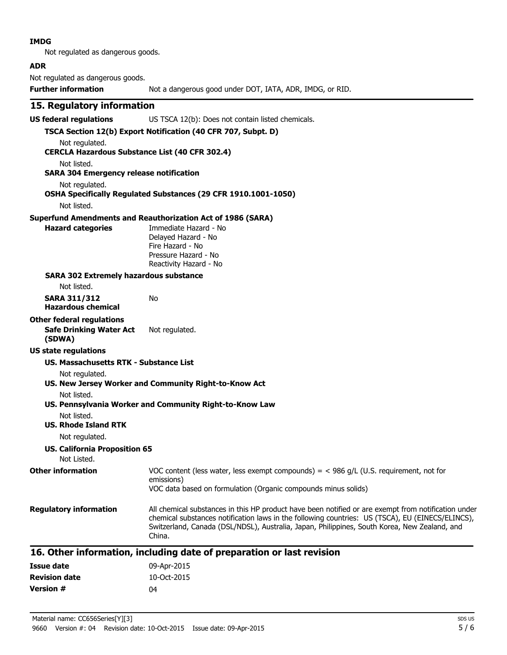#### **IMDG**

Not regulated as dangerous goods.

#### **ADR**

Not regulated as dangerous goods.

**Further information** Not a dangerous good under DOT, IATA, ADR, IMDG, or RID.

### **15. Regulatory information**

**US federal regulations** US TSCA 12(b): Does not contain listed chemicals.

#### **TSCA Section 12(b) Export Notification (40 CFR 707, Subpt. D)** Not regulated.

**CERCLA Hazardous Substance List (40 CFR 302.4)**

Not listed.

#### **SARA 304 Emergency release notification**

Not regulated.

### **OSHA Specifically Regulated Substances (29 CFR 1910.1001-1050)**

Not listed.

#### **Superfund Amendments and Reauthorization Act of 1986 (SARA)**

No

**Hazard categories** Immediate Hazard - No Delayed Hazard - No Fire Hazard - No Pressure Hazard - No Reactivity Hazard - No

#### **SARA 302 Extremely hazardous substance**

Not listed.

**SARA 311/312 Hazardous chemical**

## **Other federal regulations**

**Safe Drinking Water Act (SDWA)** Not regulated.

### **US state regulations**

#### **US. Massachusetts RTK - Substance List**

Not regulated.

### **US. New Jersey Worker and Community Right-to-Know Act**

#### Not listed.

### **US. Pennsylvania Worker and Community Right-to-Know Law**

Not listed.

### **US. Rhode Island RTK**

Not regulated.

#### **US. California Proposition 65**

Not Listed. **Other information** VOC content (less water, less exempt compounds) = < 986 g/L (U.S. requirement, not for

#### emissions) VOC data based on formulation (Organic compounds minus solids)

**Regulatory information** All chemical substances in this HP product have been notified or are exempt from notification under chemical substances notification laws in the following countries: US (TSCA), EU (EINECS/ELINCS), Switzerland, Canada (DSL/NDSL), Australia, Japan, Philippines, South Korea, New Zealand, and China.

### **16. Other information, including date of preparation or last revision**

| Issue date           | 09-Apr-2015 |
|----------------------|-------------|
| <b>Revision date</b> | 10-Oct-2015 |
| <b>Version #</b>     | 04          |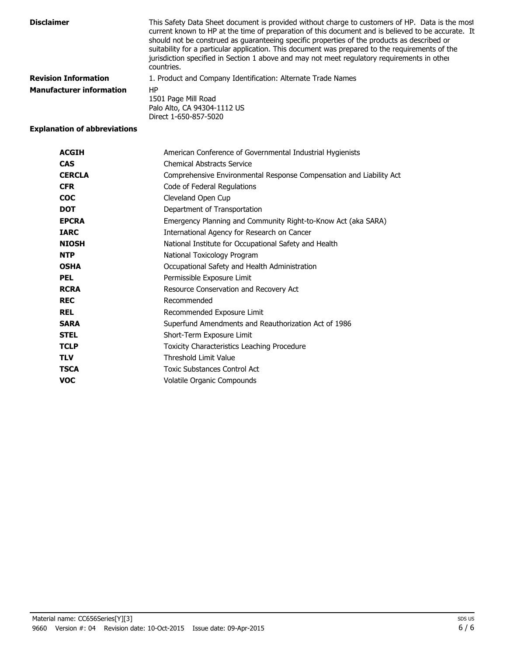| <b>Disclaimer</b>               | This Safety Data Sheet document is provided without charge to customers of HP. Data is the most<br>current known to HP at the time of preparation of this document and is believed to be accurate. It<br>should not be construed as guaranteeing specific properties of the products as described or<br>suitability for a particular application. This document was prepared to the requirements of the<br>jurisdiction specified in Section 1 above and may not meet regulatory requirements in other<br>countries. |
|---------------------------------|----------------------------------------------------------------------------------------------------------------------------------------------------------------------------------------------------------------------------------------------------------------------------------------------------------------------------------------------------------------------------------------------------------------------------------------------------------------------------------------------------------------------|
| <b>Revision Information</b>     | 1. Product and Company Identification: Alternate Trade Names                                                                                                                                                                                                                                                                                                                                                                                                                                                         |
| <b>Manufacturer information</b> | HP<br>1501 Page Mill Road<br>Palo Alto, CA 94304-1112 US<br>Direct 1-650-857-5020                                                                                                                                                                                                                                                                                                                                                                                                                                    |

### **Explanation of abbreviations**

| <b>ACGIH</b>  | American Conference of Governmental Industrial Hygienists           |
|---------------|---------------------------------------------------------------------|
| <b>CAS</b>    | <b>Chemical Abstracts Service</b>                                   |
| <b>CERCLA</b> | Comprehensive Environmental Response Compensation and Liability Act |
| <b>CFR</b>    | Code of Federal Regulations                                         |
| <b>COC</b>    | Cleveland Open Cup                                                  |
| <b>DOT</b>    | Department of Transportation                                        |
| <b>EPCRA</b>  | Emergency Planning and Community Right-to-Know Act (aka SARA)       |
| <b>IARC</b>   | International Agency for Research on Cancer                         |
| <b>NIOSH</b>  | National Institute for Occupational Safety and Health               |
| <b>NTP</b>    | National Toxicology Program                                         |
| <b>OSHA</b>   | Occupational Safety and Health Administration                       |
| <b>PEL</b>    | Permissible Exposure Limit                                          |
| <b>RCRA</b>   | Resource Conservation and Recovery Act                              |
| <b>REC</b>    | Recommended                                                         |
| <b>REL</b>    | Recommended Exposure Limit                                          |
| <b>SARA</b>   | Superfund Amendments and Reauthorization Act of 1986                |
| <b>STEL</b>   | Short-Term Exposure Limit                                           |
| <b>TCLP</b>   | Toxicity Characteristics Leaching Procedure                         |
| <b>TLV</b>    | Threshold Limit Value                                               |
| <b>TSCA</b>   | <b>Toxic Substances Control Act</b>                                 |
| <b>VOC</b>    | Volatile Organic Compounds                                          |
|               |                                                                     |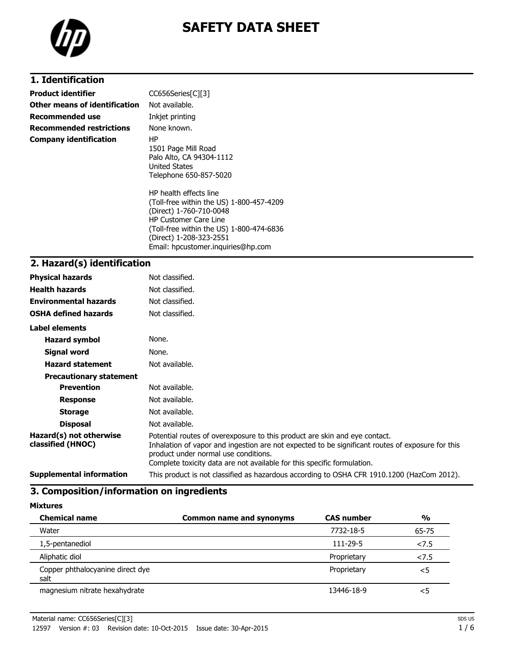

# **SAFETY DATA SHEET**

### **1. Identification**

| <b>Product identifier</b>       | CC656Series[C][3]                                                                                                                                                                                                                          |
|---------------------------------|--------------------------------------------------------------------------------------------------------------------------------------------------------------------------------------------------------------------------------------------|
| Other means of identification   | Not available.                                                                                                                                                                                                                             |
| Recommended use                 | Inkjet printing                                                                                                                                                                                                                            |
| <b>Recommended restrictions</b> | None known.                                                                                                                                                                                                                                |
| <b>Company identification</b>   | ΗP<br>1501 Page Mill Road<br>Palo Alto, CA 94304-1112<br>United States<br>Telephone 650-857-5020                                                                                                                                           |
|                                 | HP health effects line<br>(Toll-free within the US) 1-800-457-4209<br>(Direct) 1-760-710-0048<br><b>HP Customer Care Line</b><br>(Toll-free within the US) 1-800-474-6836<br>(Direct) 1-208-323-2551<br>Email: hpcustomer.inguiries@hp.com |

## **2. Hazard(s) identification**

| <b>Physical hazards</b>                      | Not classified.                                                                                                                                                                                                                                                                                   |
|----------------------------------------------|---------------------------------------------------------------------------------------------------------------------------------------------------------------------------------------------------------------------------------------------------------------------------------------------------|
| <b>Health hazards</b>                        | Not classified.                                                                                                                                                                                                                                                                                   |
| <b>Environmental hazards</b>                 | Not classified.                                                                                                                                                                                                                                                                                   |
| <b>OSHA defined hazards</b>                  | Not classified.                                                                                                                                                                                                                                                                                   |
| Label elements                               |                                                                                                                                                                                                                                                                                                   |
| Hazard symbol                                | None.                                                                                                                                                                                                                                                                                             |
| Signal word                                  | None.                                                                                                                                                                                                                                                                                             |
| <b>Hazard statement</b>                      | Not available.                                                                                                                                                                                                                                                                                    |
| <b>Precautionary statement</b>               |                                                                                                                                                                                                                                                                                                   |
| <b>Prevention</b>                            | Not available.                                                                                                                                                                                                                                                                                    |
| <b>Response</b>                              | Not available.                                                                                                                                                                                                                                                                                    |
| <b>Storage</b>                               | Not available.                                                                                                                                                                                                                                                                                    |
| <b>Disposal</b>                              | Not available.                                                                                                                                                                                                                                                                                    |
| Hazard(s) not otherwise<br>classified (HNOC) | Potential routes of overexposure to this product are skin and eye contact.<br>Inhalation of vapor and ingestion are not expected to be significant routes of exposure for this<br>product under normal use conditions.<br>Complete toxicity data are not available for this specific formulation. |
| <b>Supplemental information</b>              | This product is not classified as hazardous according to OSHA CFR 1910.1200 (HazCom 2012).                                                                                                                                                                                                        |

### **3. Composition/information on ingredients**

**Mixtures**

| <b>Chemical name</b>                     | <b>Common name and synonyms</b> | <b>CAS number</b> | $\frac{0}{0}$ |
|------------------------------------------|---------------------------------|-------------------|---------------|
| Water                                    |                                 | 7732-18-5         | 65-75         |
| 1,5-pentanediol                          |                                 | $111 - 29 - 5$    | 27.5          |
| Aliphatic diol                           |                                 | Proprietary       | 27.5          |
| Copper phthalocyanine direct dye<br>salt |                                 | Proprietary       | $<$ 5         |
| magnesium nitrate hexahydrate            |                                 | 13446-18-9        | $<$ 5         |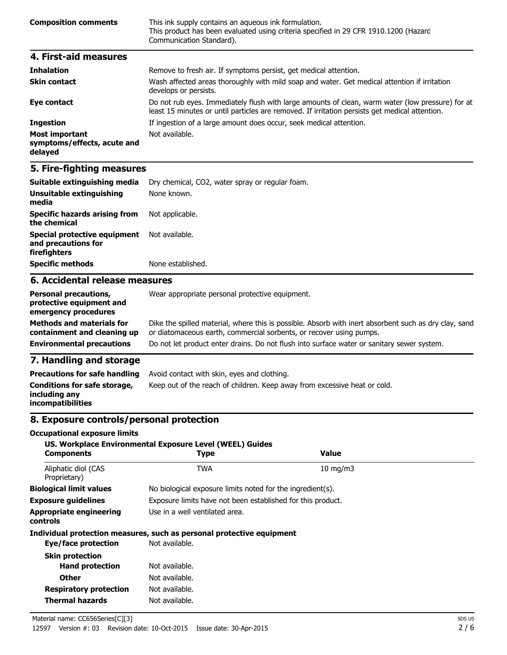| <b>Composition comments</b> | This ink supply contains an aqueous ink formulation.<br>This product has been evaluated using criteria specified in 29 CFR 1910.1200 (Hazard<br>Communication Standard). |
|-----------------------------|--------------------------------------------------------------------------------------------------------------------------------------------------------------------------|
| 4. First-aid measures       |                                                                                                                                                                          |

| <b>Inhalation</b>                                        | Remove to fresh air. If symptoms persist, get medical attention.                                                                                                                                   |
|----------------------------------------------------------|----------------------------------------------------------------------------------------------------------------------------------------------------------------------------------------------------|
| <b>Skin contact</b>                                      | Wash affected areas thoroughly with mild soap and water. Get medical attention if irritation<br>develops or persists.                                                                              |
| Eye contact                                              | Do not rub eyes. Immediately flush with large amounts of clean, warm water (low pressure) for at<br>least 15 minutes or until particles are removed. If irritation persists get medical attention. |
| <b>Ingestion</b>                                         | If ingestion of a large amount does occur, seek medical attention.                                                                                                                                 |
| Most important<br>symptoms/effects, acute and<br>delayed | Not available.                                                                                                                                                                                     |

### **5. Fire-fighting measures**

| Suitable extinguishing media                                                     | Dry chemical, CO2, water spray or regular foam.                                                                                                                              |  |  |
|----------------------------------------------------------------------------------|------------------------------------------------------------------------------------------------------------------------------------------------------------------------------|--|--|
| Unsuitable extinguishing<br>media                                                | None known.                                                                                                                                                                  |  |  |
| <b>Specific hazards arising from</b><br>the chemical                             | Not applicable.                                                                                                                                                              |  |  |
| Special protective equipment<br>and precautions for<br>firefighters              | Not available.                                                                                                                                                               |  |  |
| <b>Specific methods</b><br>None established.                                     |                                                                                                                                                                              |  |  |
| 6. Accidental release measures                                                   |                                                                                                                                                                              |  |  |
| <b>Personal precautions,</b><br>protective equipment and<br>emergency procedures | Wear appropriate personal protective equipment.                                                                                                                              |  |  |
| <b>Methods and materials for</b><br>containment and cleaning up                  | Dike the spilled material, where this is possible. Absorb with inert absorbent such as dry clay, sand<br>or diatomaceous earth, commercial sorbents, or recover using pumps. |  |  |
| <b>Environmental precautions</b>                                                 | Do not let product enter drains. Do not flush into surface water or sanitary sewer system.                                                                                   |  |  |

### **7. Handling and storage**

| <b>Precautions for safe handling</b>                                      | Avoid contact with skin, eyes and clothing.                               |
|---------------------------------------------------------------------------|---------------------------------------------------------------------------|
| Conditions for safe storage,<br>including any<br><i>incompatibilities</i> | Keep out of the reach of children. Keep away from excessive heat or cold. |

### **8. Exposure controls/personal protection**

#### **Occupational exposure limits**

### **US. Workplace Environmental Exposure Level (WEEL) Guides Components Type Value** Aliphatic diol (CAS TWA 10 mg/m3 Proprietary) **Biological limit values** No biological exposure limits noted for the ingredient(s). **Exposure guidelines** Exposure limits have not been established for this product. **Appropriate engineering controls** Use in a well ventilated area. **Individual protection measures, such as personal protective equipment Eye/face protection** Not available. **Skin protection Hand protection** Not available. **Other** Not available. **Respiratory protection** Not available. **Thermal hazards** Not available. Material name: CC656Series[C][3]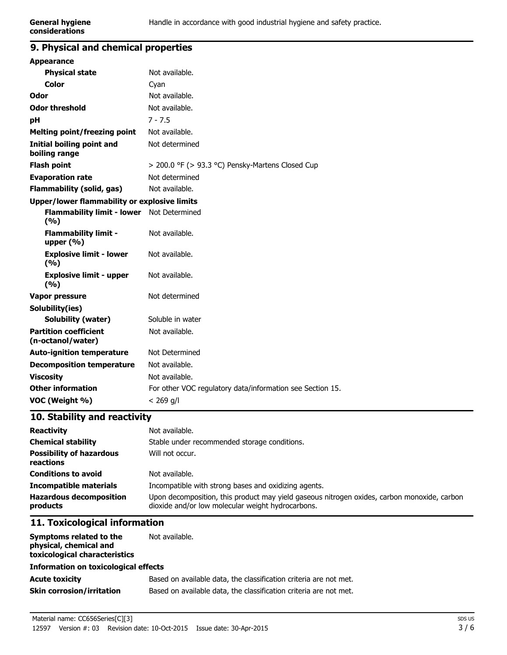### **9. Physical and chemical properties**

| <b>Appearance</b>                                       |                                                           |  |
|---------------------------------------------------------|-----------------------------------------------------------|--|
| <b>Physical state</b>                                   | Not available.                                            |  |
| <b>Color</b>                                            | Cyan                                                      |  |
| Odor                                                    | Not available.                                            |  |
| <b>Odor threshold</b>                                   | Not available.                                            |  |
| рH                                                      | $7 - 7.5$                                                 |  |
| <b>Melting point/freezing point</b>                     | Not available.                                            |  |
| Initial boiling point and<br>boiling range              | Not determined                                            |  |
| <b>Flash point</b>                                      | $>$ 200.0 °F ( $>$ 93.3 °C) Pensky-Martens Closed Cup     |  |
| <b>Evaporation rate</b>                                 | Not determined                                            |  |
| <b>Flammability (solid, gas)</b>                        | Not available.                                            |  |
| <b>Upper/lower flammability or explosive limits</b>     |                                                           |  |
| <b>Flammability limit - lower</b> Not Determined<br>(%) |                                                           |  |
| <b>Flammability limit -</b><br>upper $(% )$             | Not available.                                            |  |
| <b>Explosive limit - lower</b><br>(9/6)                 | Not available.                                            |  |
| <b>Explosive limit - upper</b><br>(%)                   | Not available.                                            |  |
| Vapor pressure                                          | Not determined                                            |  |
| Solubility(ies)                                         |                                                           |  |
| <b>Solubility (water)</b>                               | Soluble in water                                          |  |
| <b>Partition coefficient</b><br>(n-octanol/water)       | Not available.                                            |  |
| <b>Auto-ignition temperature</b>                        | Not Determined                                            |  |
| <b>Decomposition temperature</b>                        | Not available.                                            |  |
| <b>Viscosity</b>                                        | Not available.                                            |  |
| <b>Other information</b>                                | For other VOC regulatory data/information see Section 15. |  |
| VOC (Weight %)                                          | $< 269$ g/l                                               |  |
|                                                         |                                                           |  |

### **10. Stability and reactivity**

| <b>Reactivity</b>                            | Not available.                                                                                                                                   |
|----------------------------------------------|--------------------------------------------------------------------------------------------------------------------------------------------------|
| <b>Chemical stability</b>                    | Stable under recommended storage conditions.                                                                                                     |
| <b>Possibility of hazardous</b><br>reactions | Will not occur.                                                                                                                                  |
| <b>Conditions to avoid</b>                   | Not available.                                                                                                                                   |
| <b>Incompatible materials</b>                | Incompatible with strong bases and oxidizing agents.                                                                                             |
| <b>Hazardous decomposition</b><br>products   | Upon decomposition, this product may yield gaseous nitrogen oxides, carbon monoxide, carbon<br>dioxide and/or low molecular weight hydrocarbons. |

### **11. Toxicological information**

| Symptoms related to the<br>physical, chemical and<br>toxicological characteristics | Not available.                                                    |
|------------------------------------------------------------------------------------|-------------------------------------------------------------------|
| <b>Information on toxicological effects</b>                                        |                                                                   |
| <b>Acute toxicity</b>                                                              | Based on available data, the classification criteria are not met. |
| <b>Skin corrosion/irritation</b>                                                   | Based on available data, the classification criteria are not met. |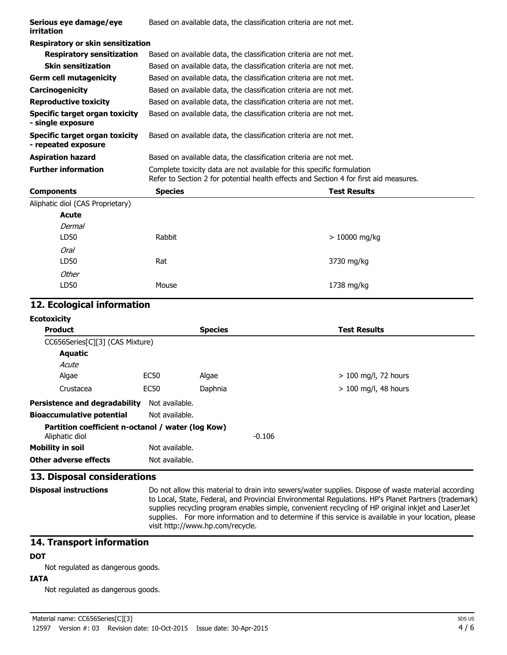| Serious eye damage/eye<br>irritation                         |                |                | Based on available data, the classification criteria are not met.                                                                                               |
|--------------------------------------------------------------|----------------|----------------|-----------------------------------------------------------------------------------------------------------------------------------------------------------------|
| <b>Respiratory or skin sensitization</b>                     |                |                |                                                                                                                                                                 |
| <b>Respiratory sensitization</b>                             |                |                | Based on available data, the classification criteria are not met.                                                                                               |
| <b>Skin sensitization</b>                                    |                |                | Based on available data, the classification criteria are not met.                                                                                               |
| <b>Germ cell mutagenicity</b>                                |                |                | Based on available data, the classification criteria are not met.                                                                                               |
| Carcinogenicity                                              |                |                | Based on available data, the classification criteria are not met.                                                                                               |
| <b>Reproductive toxicity</b>                                 |                |                | Based on available data, the classification criteria are not met.                                                                                               |
| <b>Specific target organ toxicity</b><br>- single exposure   |                |                | Based on available data, the classification criteria are not met.                                                                                               |
| <b>Specific target organ toxicity</b><br>- repeated exposure |                |                | Based on available data, the classification criteria are not met.                                                                                               |
| <b>Aspiration hazard</b>                                     |                |                | Based on available data, the classification criteria are not met.                                                                                               |
| <b>Further information</b>                                   |                |                | Complete toxicity data are not available for this specific formulation<br>Refer to Section 2 for potential health effects and Section 4 for first aid measures. |
| <b>Components</b>                                            | <b>Species</b> |                | <b>Test Results</b>                                                                                                                                             |
| Aliphatic diol (CAS Proprietary)                             |                |                |                                                                                                                                                                 |
| <b>Acute</b>                                                 |                |                |                                                                                                                                                                 |
| Dermal                                                       |                |                |                                                                                                                                                                 |
| LD50                                                         | Rabbit         |                | $> 10000$ mg/kg                                                                                                                                                 |
| <b>Oral</b>                                                  |                |                |                                                                                                                                                                 |
| LD50                                                         | Rat            |                | 3730 mg/kg                                                                                                                                                      |
| <b>Other</b>                                                 |                |                |                                                                                                                                                                 |
| LD50                                                         | Mouse          |                | 1738 mg/kg                                                                                                                                                      |
| 12. Ecological information                                   |                |                |                                                                                                                                                                 |
| <b>Ecotoxicity</b>                                           |                |                |                                                                                                                                                                 |
| <b>Product</b>                                               |                | <b>Species</b> | <b>Test Results</b>                                                                                                                                             |
| CC656Series[C][3] (CAS Mixture)                              |                |                |                                                                                                                                                                 |
| <b>Aquatic</b>                                               |                |                |                                                                                                                                                                 |
| Acute                                                        |                |                |                                                                                                                                                                 |
| Algae                                                        | <b>EC50</b>    | Algae          | $> 100$ mg/l, 72 hours                                                                                                                                          |
| Crustacea                                                    | <b>FC50</b>    | Danhnia        | $> 100$ ma/l 48 hours                                                                                                                                           |

| <u>u usuata</u>                                   | <u>Luju</u>    | <b>Duplified</b> |          | $\geq$ 100 $\frac{1}{2}$ 10 $\frac{1}{2}$ 10 $\frac{1}{2}$ |
|---------------------------------------------------|----------------|------------------|----------|------------------------------------------------------------|
| <b>Persistence and degradability</b>              | Not available. |                  |          |                                                            |
| <b>Bioaccumulative potential</b>                  | Not available. |                  |          |                                                            |
| Partition coefficient n-octanol / water (log Kow) |                |                  | $-0.106$ |                                                            |
| Aliphatic diol                                    |                |                  |          |                                                            |
| Mobility in soil                                  | Not available. |                  |          |                                                            |
| <b>Other adverse effects</b>                      | Not available. |                  |          |                                                            |

### **13. Disposal considerations**

**Disposal instructions** Do not allow this material to drain into sewers/water supplies. Dispose of waste material according to Local, State, Federal, and Provincial Environmental Regulations. HP's Planet Partners (trademark) supplies recycling program enables simple, convenient recycling of HP original inkjet and LaserJet supplies. For more information and to determine if this service is available in your location, please visit http://www.hp.com/recycle.

### **14. Transport information**

### **DOT**

Not regulated as dangerous goods.

### **IATA**

Not regulated as dangerous goods.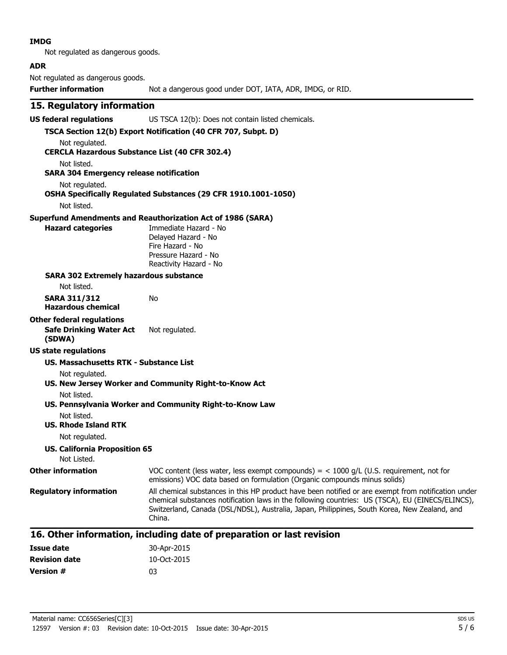#### **IMDG**

Not regulated as dangerous goods.

#### **ADR**

Not regulated as dangerous goods.

**Further information** Not a dangerous good under DOT, IATA, ADR, IMDG, or RID.

### **15. Regulatory information**

**US federal regulations** US TSCA 12(b): Does not contain listed chemicals.

#### **TSCA Section 12(b) Export Notification (40 CFR 707, Subpt. D)** Not regulated.

**CERCLA Hazardous Substance List (40 CFR 302.4)**

Not listed.

#### **SARA 304 Emergency release notification**

Not regulated.

### **OSHA Specifically Regulated Substances (29 CFR 1910.1001-1050)**

Not listed.

#### **Superfund Amendments and Reauthorization Act of 1986 (SARA)**

No

**Hazard categories** Immediate Hazard - No Delayed Hazard - No Fire Hazard - No Pressure Hazard - No Reactivity Hazard - No

#### **SARA 302 Extremely hazardous substance**

Not listed.

**SARA 311/312 Hazardous chemical**

## **Other federal regulations**

**Safe Drinking Water Act** Not regulated.

#### **(SDWA) US state regulations**

### **US. Massachusetts RTK - Substance List**

Not regulated.

### **US. New Jersey Worker and Community Right-to-Know Act** Not listed.

### **US. Pennsylvania Worker and Community Right-to-Know Law**

Not listed.

#### **US. Rhode Island RTK**

Not regulated.

### **US. California Proposition 65**

#### Not Listed. **Other information** VOC content (less water, less exempt compounds) = < 1000 g/L (U.S. requirement, not for emissions) VOC data based on formulation (Organic compounds minus solids) **Requiatory information** All chemical substances in this HP product have been notified or are exempt from notification under chemical substances notification laws in the following countries: US (TSCA), EU (EINECS/ELINCS), Switzerland, Canada (DSL/NDSL), Australia, Japan, Philippines, South Korea, New Zealand, and China.

### **16. Other information, including date of preparation or last revision**

| Issue date           | 30-Apr-2015 |
|----------------------|-------------|
| <b>Revision date</b> | 10-Oct-2015 |
| <b>Version #</b>     | 03          |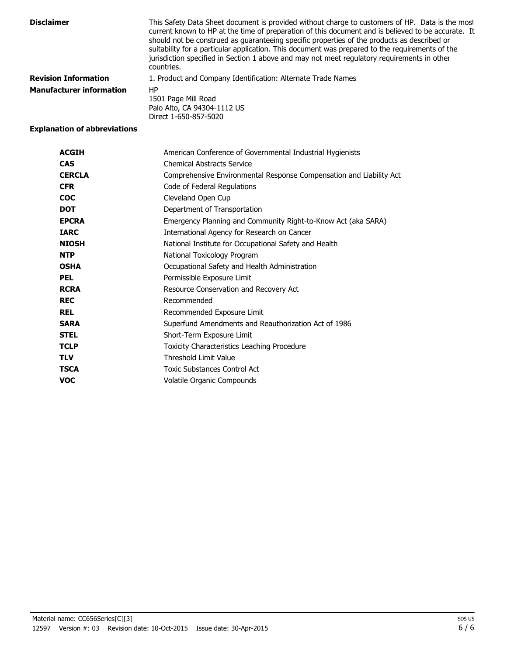| <b>Disclaimer</b>               | This Safety Data Sheet document is provided without charge to customers of HP. Data is the most<br>current known to HP at the time of preparation of this document and is believed to be accurate. It<br>should not be construed as guaranteeing specific properties of the products as described or<br>suitability for a particular application. This document was prepared to the requirements of the<br>jurisdiction specified in Section 1 above and may not meet regulatory requirements in other<br>countries. |
|---------------------------------|----------------------------------------------------------------------------------------------------------------------------------------------------------------------------------------------------------------------------------------------------------------------------------------------------------------------------------------------------------------------------------------------------------------------------------------------------------------------------------------------------------------------|
| <b>Revision Information</b>     | 1. Product and Company Identification: Alternate Trade Names                                                                                                                                                                                                                                                                                                                                                                                                                                                         |
| <b>Manufacturer information</b> | HP<br>1501 Page Mill Road<br>Palo Alto, CA 94304-1112 US<br>Direct 1-650-857-5020                                                                                                                                                                                                                                                                                                                                                                                                                                    |

### **Explanation of abbreviations**

| <b>ACGIH</b>  | American Conference of Governmental Industrial Hygienists           |
|---------------|---------------------------------------------------------------------|
| <b>CAS</b>    | <b>Chemical Abstracts Service</b>                                   |
| <b>CERCLA</b> | Comprehensive Environmental Response Compensation and Liability Act |
| <b>CFR</b>    | Code of Federal Regulations                                         |
| <b>COC</b>    | Cleveland Open Cup                                                  |
| <b>DOT</b>    | Department of Transportation                                        |
| <b>EPCRA</b>  | Emergency Planning and Community Right-to-Know Act (aka SARA)       |
| <b>IARC</b>   | International Agency for Research on Cancer                         |
| <b>NIOSH</b>  | National Institute for Occupational Safety and Health               |
| <b>NTP</b>    | National Toxicology Program                                         |
| <b>OSHA</b>   | Occupational Safety and Health Administration                       |
| <b>PEL</b>    | Permissible Exposure Limit                                          |
| <b>RCRA</b>   | Resource Conservation and Recovery Act                              |
| <b>REC</b>    | Recommended                                                         |
| <b>REL</b>    | Recommended Exposure Limit                                          |
| <b>SARA</b>   | Superfund Amendments and Reauthorization Act of 1986                |
| <b>STEL</b>   | Short-Term Exposure Limit                                           |
| <b>TCLP</b>   | Toxicity Characteristics Leaching Procedure                         |
| <b>TLV</b>    | Threshold Limit Value                                               |
| <b>TSCA</b>   | Toxic Substances Control Act                                        |
| <b>VOC</b>    | Volatile Organic Compounds                                          |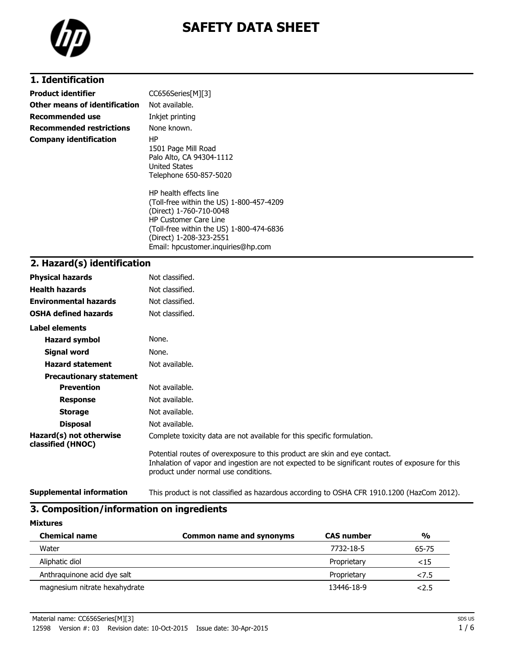

# **SAFETY DATA SHEET**

### **1. Identification**

| <b>Product identifier</b>       | CC656Series[M][3]                                                                                                                                                                                                                          |
|---------------------------------|--------------------------------------------------------------------------------------------------------------------------------------------------------------------------------------------------------------------------------------------|
| Other means of identification   | Not available.                                                                                                                                                                                                                             |
| Recommended use                 | Inkjet printing                                                                                                                                                                                                                            |
| <b>Recommended restrictions</b> | None known.                                                                                                                                                                                                                                |
| <b>Company identification</b>   | ΗP<br>1501 Page Mill Road<br>Palo Alto, CA 94304-1112<br>United States<br>Telephone 650-857-5020                                                                                                                                           |
|                                 | HP health effects line<br>(Toll-free within the US) 1-800-457-4209<br>(Direct) 1-760-710-0048<br><b>HP Customer Care Line</b><br>(Toll-free within the US) 1-800-474-6836<br>(Direct) 1-208-323-2551<br>Email: hpcustomer.inguiries@hp.com |

#### **2. Hazard(s) identification**

| <b>Physical hazards</b>                      | Not classified.                                                                                                                                                                                                        |
|----------------------------------------------|------------------------------------------------------------------------------------------------------------------------------------------------------------------------------------------------------------------------|
| <b>Health hazards</b>                        | Not classified.                                                                                                                                                                                                        |
| <b>Environmental hazards</b>                 | Not classified.                                                                                                                                                                                                        |
| <b>OSHA defined hazards</b>                  | Not classified.                                                                                                                                                                                                        |
| Label elements                               |                                                                                                                                                                                                                        |
| Hazard symbol                                | None.                                                                                                                                                                                                                  |
| Signal word                                  | None.                                                                                                                                                                                                                  |
| <b>Hazard statement</b>                      | Not available.                                                                                                                                                                                                         |
| <b>Precautionary statement</b>               |                                                                                                                                                                                                                        |
| <b>Prevention</b>                            | Not available.                                                                                                                                                                                                         |
| <b>Response</b>                              | Not available.                                                                                                                                                                                                         |
| <b>Storage</b>                               | Not available.                                                                                                                                                                                                         |
| <b>Disposal</b>                              | Not available.                                                                                                                                                                                                         |
| Hazard(s) not otherwise<br>classified (HNOC) | Complete toxicity data are not available for this specific formulation.                                                                                                                                                |
|                                              | Potential routes of overexposure to this product are skin and eye contact.<br>Inhalation of vapor and ingestion are not expected to be significant routes of exposure for this<br>product under normal use conditions. |

**Supplemental information** This product is not classified as hazardous according to OSHA CFR 1910.1200 (HazCom 2012).

### **3. Composition/information on ingredients**

**Mixtures**

| <b>Chemical name</b>          | <b>Common name and synonyms</b> | <b>CAS number</b> | $\frac{0}{0}$ |
|-------------------------------|---------------------------------|-------------------|---------------|
| Water                         |                                 | 7732-18-5         | 65-75         |
| Aliphatic diol                |                                 | Proprietary       | <15           |
| Anthraquinone acid dye salt   |                                 | Proprietary       | 27.5          |
| magnesium nitrate hexahydrate |                                 | 13446-18-9        | 2.5           |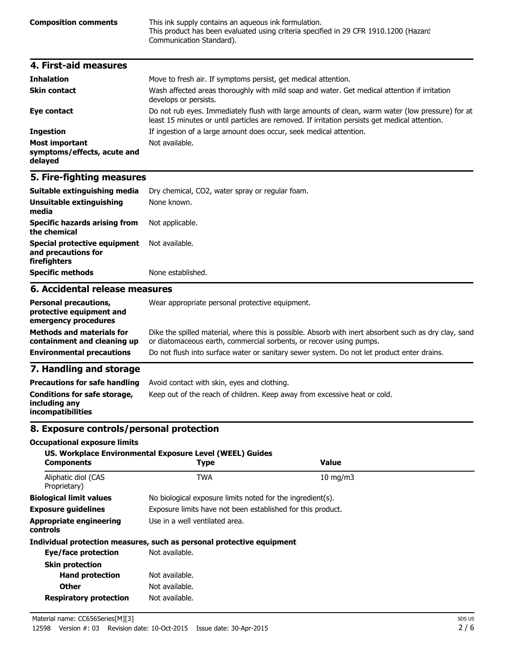**Composition comments** This ink supply contains an aqueous ink formulation. This product has been evaluated using criteria specified in 29 CFR 1910.1200 (Hazard Communication Standard).

| 4. First-aid measures                                           |                                                                                                                                                                                                    |
|-----------------------------------------------------------------|----------------------------------------------------------------------------------------------------------------------------------------------------------------------------------------------------|
| <b>Inhalation</b>                                               | Move to fresh air. If symptoms persist, get medical attention.                                                                                                                                     |
| <b>Skin contact</b>                                             | Wash affected areas thoroughly with mild soap and water. Get medical attention if irritation<br>develops or persists.                                                                              |
| Eye contact                                                     | Do not rub eyes. Immediately flush with large amounts of clean, warm water (low pressure) for at<br>least 15 minutes or until particles are removed. If irritation persists get medical attention. |
| <b>Ingestion</b>                                                | If ingestion of a large amount does occur, seek medical attention.                                                                                                                                 |
| <b>Most important</b><br>symptoms/effects, acute and<br>delayed | Not available.                                                                                                                                                                                     |

### **5. Fire-fighting measures**

| Suitable extinguishing media<br>Unsuitable extinguishing<br>media   | Dry chemical, CO2, water spray or regular foam.<br>None known. |
|---------------------------------------------------------------------|----------------------------------------------------------------|
| <b>Specific hazards arising from</b><br>the chemical                | Not applicable.                                                |
| Special protective equipment<br>and precautions for<br>firefighters | Not available.                                                 |
| <b>Specific methods</b>                                             | None established.                                              |

### **6. Accidental release measures**

| <b>Personal precautions,</b><br>protective equipment and<br>emergency procedures | Wear appropriate personal protective equipment.                                                                                                                              |
|----------------------------------------------------------------------------------|------------------------------------------------------------------------------------------------------------------------------------------------------------------------------|
| <b>Methods and materials for</b><br>containment and cleaning up                  | Dike the spilled material, where this is possible. Absorb with inert absorbent such as dry clay, sand<br>or diatomaceous earth, commercial sorbents, or recover using pumps. |
| <b>Environmental precautions</b>                                                 | Do not flush into surface water or sanitary sewer system. Do not let product enter drains.                                                                                   |
| 7. Handling and storage                                                          |                                                                                                                                                                              |
| <b>Precautions for safe handling</b>                                             | Avoid contact with skin, eyes and clothing.                                                                                                                                  |
| Conditions for safe storage,                                                     | Keep out of the reach of children. Keep away from excessive heat or cold.                                                                                                    |

### **8. Exposure controls/personal protection**

#### **Occupational exposure limits**

**including any incompatibilities**

| <b>Components</b>                                 | US. Workplace Environmental Exposure Level (WEEL) Guides<br><b>Type</b> | Value         |  |
|---------------------------------------------------|-------------------------------------------------------------------------|---------------|--|
| Aliphatic diol (CAS<br>Proprietary)               | <b>TWA</b>                                                              | $10$ mg/m $3$ |  |
| <b>Biological limit values</b>                    | No biological exposure limits noted for the ingredient(s).              |               |  |
| <b>Exposure guidelines</b>                        | Exposure limits have not been established for this product.             |               |  |
| <b>Appropriate engineering</b><br><b>controls</b> | Use in a well ventilated area.                                          |               |  |
|                                                   | Individual protection measures, such as personal protective equipment   |               |  |
| Eye/face protection                               | Not available.                                                          |               |  |
| <b>Skin protection</b>                            |                                                                         |               |  |
| <b>Hand protection</b>                            | Not available.                                                          |               |  |
| <b>Other</b>                                      | Not available.                                                          |               |  |
| <b>Respiratory protection</b>                     | Not available.                                                          |               |  |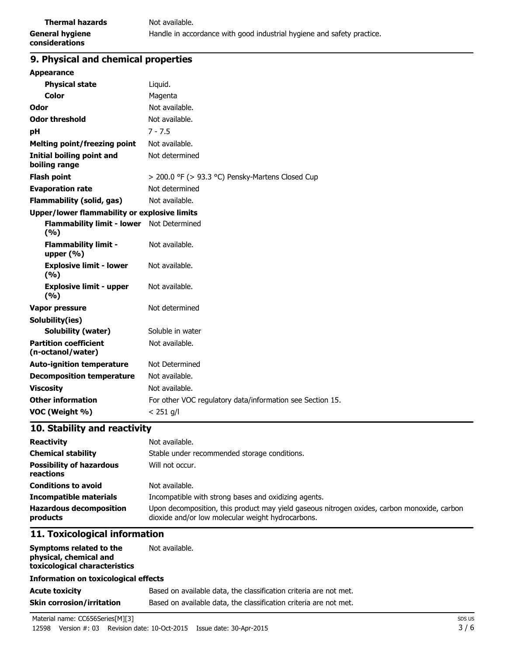#### **9. Physical and chemical properties**

| <b>Appearance</b>                                  |                                                           |
|----------------------------------------------------|-----------------------------------------------------------|
| <b>Physical state</b>                              | Liquid.                                                   |
| Color                                              | Magenta                                                   |
| Odor                                               | Not available.                                            |
| <b>Odor threshold</b>                              | Not available.                                            |
| pH                                                 | $7 - 7.5$                                                 |
| <b>Melting point/freezing point</b>                | Not available.                                            |
| Initial boiling point and<br>boiling range         | Not determined                                            |
| <b>Flash point</b>                                 | > 200.0 °F (> 93.3 °C) Pensky-Martens Closed Cup          |
| <b>Evaporation rate</b>                            | Not determined                                            |
| Flammability (solid, gas)                          | Not available.                                            |
| Upper/lower flammability or explosive limits       |                                                           |
| Flammability limit - lower Not Determined<br>(9/6) |                                                           |
| <b>Flammability limit -</b><br>upper $(% )$        | Not available.                                            |
| <b>Explosive limit - lower</b><br>(9/6)            | Not available.                                            |
| <b>Explosive limit - upper</b><br>(%)              | Not available.                                            |
| <b>Vapor pressure</b>                              | Not determined                                            |
| Solubility(ies)                                    |                                                           |
| <b>Solubility (water)</b>                          | Soluble in water                                          |
| <b>Partition coefficient</b><br>(n-octanol/water)  | Not available.                                            |
| <b>Auto-ignition temperature</b>                   | Not Determined                                            |
| <b>Decomposition temperature</b>                   | Not available.                                            |
| <b>Viscosity</b>                                   | Not available.                                            |
| <b>Other information</b>                           | For other VOC regulatory data/information see Section 15. |
| VOC (Weight %)                                     | $< 251$ g/l                                               |

### **10. Stability and reactivity**

| <b>Reactivity</b><br><b>Chemical stability</b><br><b>Possibility of hazardous</b><br>reactions | Not available.<br>Stable under recommended storage conditions.<br>Will not occur.                                                                |
|------------------------------------------------------------------------------------------------|--------------------------------------------------------------------------------------------------------------------------------------------------|
| <b>Conditions to avoid</b>                                                                     | Not available.                                                                                                                                   |
| <b>Incompatible materials</b>                                                                  | Incompatible with strong bases and oxidizing agents.                                                                                             |
| <b>Hazardous decomposition</b><br>products                                                     | Upon decomposition, this product may yield gaseous nitrogen oxides, carbon monoxide, carbon<br>dioxide and/or low molecular weight hydrocarbons. |

### **11. Toxicological information**

| Symptoms related to the<br>physical, chemical and<br>toxicological characteristics | Not available.                                                    |  |
|------------------------------------------------------------------------------------|-------------------------------------------------------------------|--|
| <b>Information on toxicological effects</b>                                        |                                                                   |  |
| <b>Acute toxicity</b>                                                              | Based on available data, the classification criteria are not met. |  |
| <b>Skin corrosion/irritation</b>                                                   | Based on available data, the classification criteria are not met. |  |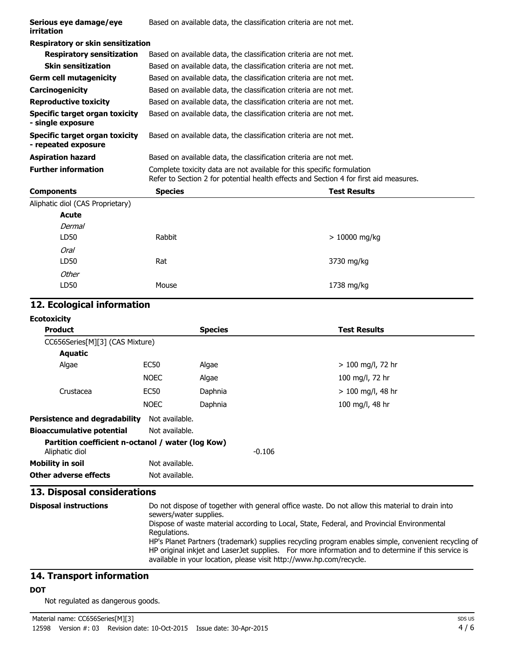| Serious eye damage/eye<br>irritation                  | Based on available data, the classification criteria are not met. |                                                                                                                                                                 |  |  |
|-------------------------------------------------------|-------------------------------------------------------------------|-----------------------------------------------------------------------------------------------------------------------------------------------------------------|--|--|
| <b>Respiratory or skin sensitization</b>              |                                                                   |                                                                                                                                                                 |  |  |
| <b>Respiratory sensitization</b>                      |                                                                   | Based on available data, the classification criteria are not met.                                                                                               |  |  |
| <b>Skin sensitization</b>                             |                                                                   | Based on available data, the classification criteria are not met.                                                                                               |  |  |
| <b>Germ cell mutagenicity</b>                         |                                                                   | Based on available data, the classification criteria are not met.                                                                                               |  |  |
| <b>Carcinogenicity</b>                                |                                                                   | Based on available data, the classification criteria are not met.                                                                                               |  |  |
| <b>Reproductive toxicity</b>                          |                                                                   | Based on available data, the classification criteria are not met.                                                                                               |  |  |
| Specific target organ toxicity<br>- single exposure   |                                                                   | Based on available data, the classification criteria are not met.                                                                                               |  |  |
| Specific target organ toxicity<br>- repeated exposure |                                                                   | Based on available data, the classification criteria are not met.                                                                                               |  |  |
|                                                       |                                                                   |                                                                                                                                                                 |  |  |
| <b>Aspiration hazard</b>                              |                                                                   | Based on available data, the classification criteria are not met.                                                                                               |  |  |
| <b>Further information</b>                            |                                                                   | Complete toxicity data are not available for this specific formulation<br>Refer to Section 2 for potential health effects and Section 4 for first aid measures. |  |  |
| <b>Components</b>                                     | <b>Species</b>                                                    | <b>Test Results</b>                                                                                                                                             |  |  |
| Aliphatic diol (CAS Proprietary)                      |                                                                   |                                                                                                                                                                 |  |  |
| <b>Acute</b>                                          |                                                                   |                                                                                                                                                                 |  |  |
| Dermal                                                |                                                                   |                                                                                                                                                                 |  |  |
| LD50                                                  | Rabbit                                                            | $>10000$ mg/kg                                                                                                                                                  |  |  |
| Oral                                                  |                                                                   |                                                                                                                                                                 |  |  |
| LD50                                                  | Rat                                                               | 3730 mg/kg                                                                                                                                                      |  |  |
| Other                                                 |                                                                   |                                                                                                                                                                 |  |  |

### **12. Ecological information**

| <b>Ecotoxicity</b> |
|--------------------|
|--------------------|

| <b>Product</b>                                                      |                                  | <b>Species</b> |          | <b>Test Results</b> |
|---------------------------------------------------------------------|----------------------------------|----------------|----------|---------------------|
| CC656Series[M][3] (CAS Mixture)                                     |                                  |                |          |                     |
| <b>Aquatic</b>                                                      |                                  |                |          |                     |
| Algae                                                               | EC <sub>50</sub>                 | Algae          |          | $> 100$ mg/l, 72 hr |
|                                                                     | <b>NOEC</b>                      | Algae          |          | 100 mg/l, 72 hr     |
| Crustacea                                                           | EC <sub>50</sub>                 | Daphnia        |          | $> 100$ mg/l, 48 hr |
|                                                                     | <b>NOEC</b>                      | Daphnia        |          | 100 mg/l, 48 hr     |
| Persistence and degradability<br><b>Bioaccumulative potential</b>   | Not available.<br>Not available. |                |          |                     |
| Partition coefficient n-octanol / water (log Kow)<br>Aliphatic diol |                                  |                | $-0.106$ |                     |
| Mobility in soil                                                    | Not available.                   |                |          |                     |
| Other adverse effects                                               | Not available.                   |                |          |                     |

### **13. Disposal considerations**

**Disposal instructions** Do not dispose of together with general office waste. Do not allow this material to drain into sewers/water supplies. Dispose of waste material according to Local, State, Federal, and Provincial Environmental Regulations. HP's Planet Partners (trademark) supplies recycling program enables simple, convenient recycling of HP original inkjet and LaserJet supplies. For more information and to determine if this service is available in your location, please visit http://www.hp.com/recycle.

### **14. Transport information**

#### **DOT**

Not regulated as dangerous goods.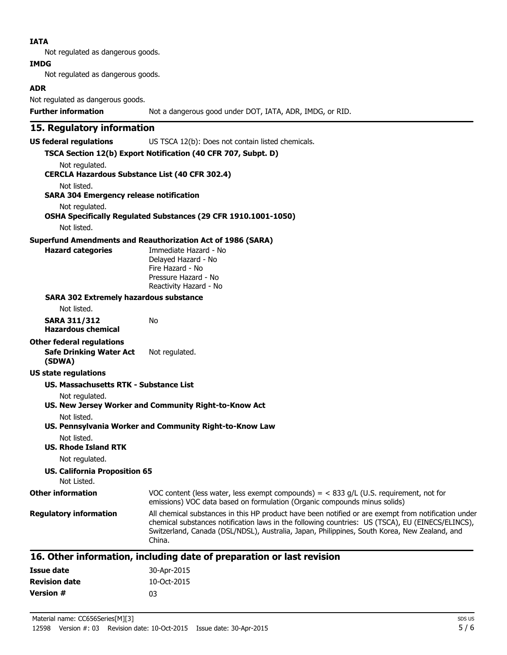#### **IATA**

Not regulated as dangerous goods.

#### **IMDG**

Not regulated as dangerous goods.

#### **ADR**

Not regulated as dangerous goods.

#### **15. Regulatory information**

**US federal regulations** US TSCA 12(b): Does not contain listed chemicals.

#### **TSCA Section 12(b) Export Notification (40 CFR 707, Subpt. D)**

Not regulated.

#### **CERCLA Hazardous Substance List (40 CFR 302.4)**

Not listed.

#### **SARA 304 Emergency release notification**

Not regulated.

#### **OSHA Specifically Regulated Substances (29 CFR 1910.1001-1050)**

Not listed.

#### **Superfund Amendments and Reauthorization Act of 1986 (SARA)**

No

**Hazard categories** Immediate Hazard - No Delayed Hazard - No Fire Hazard - No Pressure Hazard - No Reactivity Hazard - No

#### **SARA 302 Extremely hazardous substance**

Not listed.

| SARA 311/312 |  |  |
|--------------|--|--|
|              |  |  |

**Hazardous chemical**

### **Other federal regulations**

**Safe Drinking Water Act (SDWA)** Not regulated.

#### **US state regulations**

#### **US. Massachusetts RTK - Substance List**

Not regulated.

#### **US. New Jersey Worker and Community Right-to-Know Act**

Not listed.

**US. Pennsylvania Worker and Community Right-to-Know Law**

Not listed.

#### **US. Rhode Island RTK**

Not regulated.

#### **US. California Proposition 65**

Not Listed.

#### **Other information** VOC content (less water, less exempt compounds) = < 833 g/L (U.S. requirement, not for emissions) VOC data based on formulation (Organic compounds minus solids)

**Regulatory information** All chemical substances in this HP product have been notified or are exempt from notification under chemical substances notification laws in the following countries: US (TSCA), EU (EINECS/ELINCS), Switzerland, Canada (DSL/NDSL), Australia, Japan, Philippines, South Korea, New Zealand, and China.

### **16. Other information, including date of preparation or last revision**

| Issue date           | 30-Apr-2015 |
|----------------------|-------------|
| <b>Revision date</b> | 10-Oct-2015 |
| Version #            | n3          |